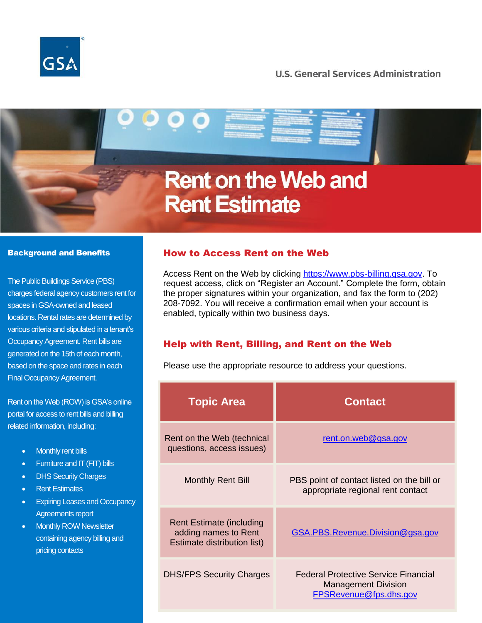

# **U.S. General Services Administration**

# **Rent on the Web and Rent Estimate**

#### Background and Benefits

The Public Buildings Service (PBS) charges federal agency customers rent for spaces in GSA-owned and leased locations. Rental rates are determined by various criteria and stipulated in a tenant's Occupancy Agreement. Rent bills are generated on the 15th of each month, based on the space and rates in each Final Occupancy Agreement.

Rent on the Web (ROW) is GSA's online portal for access to rent bills and billing related information, including:

- **Monthly rent bills**
- Furniture and IT (FIT) bills
- DHS Security Charges
- Rent Estimates
- Expiring Leases and Occupancy Agreements report
- Monthly ROW Newsletter containing agency billing and pricing contacts

# How to Access Rent on the Web

Access Rent on the Web by clicking [https://www.pbs-billing.gsa.gov.](https://www.pbs-billing.gsa.gov/) To request access, click on "Register an Account." Complete the form, obtain the proper signatures within your organization, and fax the form to (202) 208-7092. You will receive a confirmation email when your account is enabled, typically within two business days.

### Help with Rent, Billing, and Rent on the Web

Please use the appropriate resource to address your questions.

| <b>Topic Area</b>                                                                      | <b>Contact</b>                                                                               |
|----------------------------------------------------------------------------------------|----------------------------------------------------------------------------------------------|
| Rent on the Web (technical<br>questions, access issues)                                | rent.on.web@gsa.gov                                                                          |
| <b>Monthly Rent Bill</b>                                                               | PBS point of contact listed on the bill or<br>appropriate regional rent contact              |
| <b>Rent Estimate (including</b><br>adding names to Rent<br>Estimate distribution list) | GSA.PBS.Revenue.Division@gsa.gov                                                             |
| <b>DHS/FPS Security Charges</b>                                                        | Federal Protective Service Financial<br><b>Management Division</b><br>FPSRevenue@fps.dhs.gov |